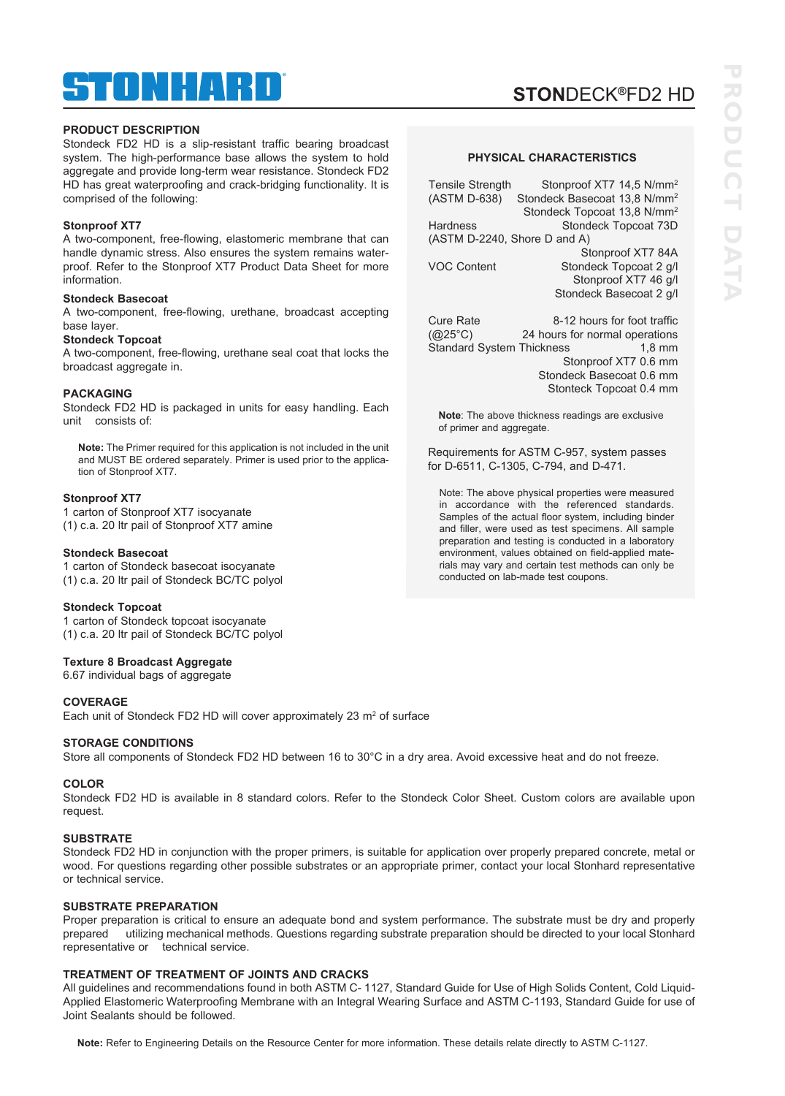# ® TINHANELI

## **PRODUCT DESCRIPTION**

Stondeck FD2 HD is a slip-resistant traffic bearing broadcast system. The high-performance base allows the system to hold aggregate and provide long-term wear resistance. Stondeck FD2 HD has great waterproofing and crack-bridging functionality. It is comprised of the following:

## **Stonproof XT7**

A two-component, free-flowing, elastomeric membrane that can handle dynamic stress. Also ensures the system remains waterproof. Refer to the Stonproof XT7 Product Data Sheet for more information.

#### **Stondeck Basecoat**

A two-component, free-flowing, urethane, broadcast accepting base layer.

#### **Stondeck Topcoat**

A two-component, free-flowing, urethane seal coat that locks the broadcast aggregate in.

## **PACKAGING**

Stondeck FD2 HD is packaged in units for easy handling. Each unit consists of:

**Note:** The Primer required for this application is not included in the unit and MUST BE ordered separately. Primer is used prior to the application of Stonproof XT7.

## **Stonproof XT7**

1 carton of Stonproof XT7 isocyanate (1) c.a. 20 ltr pail of Stonproof XT7 amine

#### **Stondeck Basecoat**

1 carton of Stondeck basecoat isocyanate (1) c.a. 20 ltr pail of Stondeck BC/TC polyol

## **Stondeck Topcoat**

1 carton of Stondeck topcoat isocyanate (1) c.a. 20 ltr pail of Stondeck BC/TC polyol

## **Texture 8 Broadcast Aggregate**

6.67 individual bags of aggregate

## **COVERAGE**

Each unit of Stondeck FD2 HD will cover approximately 23 m<sup>2</sup> of surface

## **STORAGE CONDITIONS**

Store all components of Stondeck FD2 HD between 16 to 30°C in a dry area. Avoid excessive heat and do not freeze.

## **COLOR**

Stondeck FD2 HD is available in 8 standard colors. Refer to the Stondeck Color Sheet. Custom colors are available upon request.

## **SUBSTRATE**

Stondeck FD2 HD in conjunction with the proper primers, is suitable for application over properly prepared concrete, metal or wood. For questions regarding other possible substrates or an appropriate primer, contact your local Stonhard representative or technical service.

## **SUBSTRATE PREPARATION**

Proper preparation is critical to ensure an adequate bond and system performance. The substrate must be dry and properly prepared utilizing mechanical methods. Questions regarding substrate preparation should be directed to your local Stonhard representative or technical service.

## **TREATMENT OF TREATMENT OF JOINTS AND CRACKS**

All guidelines and recommendations found in both ASTM C- 1127, Standard Guide for Use of High Solids Content, Cold Liquid-Applied Elastomeric Waterproofing Membrane with an Integral Wearing Surface and ASTM C-1193, Standard Guide for use of Joint Sealants should be followed.

**Note:** Refer to Engineering Details on the Resource Center for more information. These details relate directly to ASTM C-1127.

## **PHYSICAL CHARACTERISTICS**

| Stonproof XT7 14,5 N/mm <sup>2</sup>     |
|------------------------------------------|
| Stondeck Basecoat 13,8 N/mm <sup>2</sup> |
| Stondeck Topcoat 13,8 N/mm <sup>2</sup>  |
| Stondeck Topcoat 73D                     |
| (ASTM D-2240, Shore D and A)             |
| Stonproof XT7 84A                        |
| Stondeck Topcoat 2 g/l                   |
| Stonproof XT7 46 g/l                     |
| Stondeck Basecoat 2 g/l                  |
|                                          |

Cure Rate 8-12 hours for foot traffic (@25°C) 24 hours for normal operations Standard System Thickness Stonproof XT7 0.6 mm Stondeck Basecoat 0.6 mm Stonteck Topcoat 0.4 mm

**Note**: The above thickness readings are exclusive of primer and aggregate.

Requirements for ASTM C-957, system passes for D-6511, C-1305, C-794, and D-471.

Note: The above physical properties were measured in accordance with the referenced standards. Samples of the actual floor system, including binder and filler, were used as test specimens. All sample preparation and testing is conducted in a laboratory environment, values obtained on field-applied materials may vary and certain test methods can only be conducted on lab-made test coupons.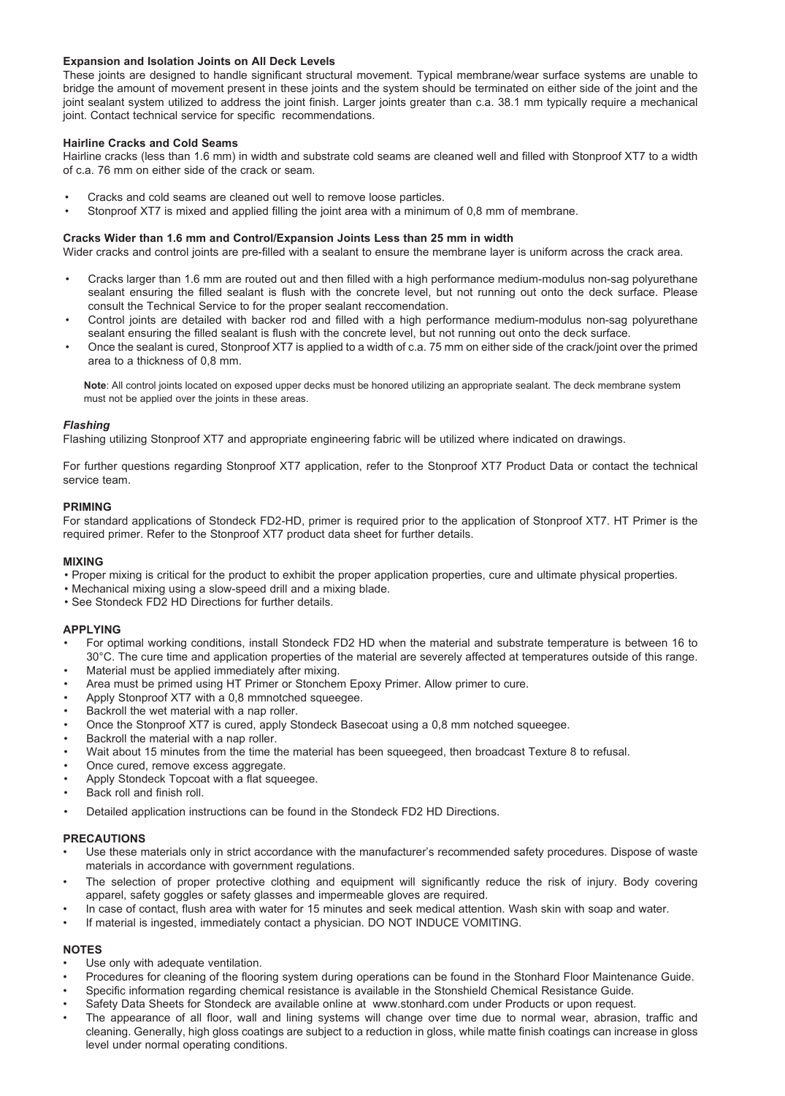## **Expansion and Isolation Joints on All Deck Levels**

These joints are designed to handle significant structural movement. Typical membrane/wear surface systems are unable to bridge the amount of movement present in these joints and the system should be terminated on either side of the joint and the joint sealant system utilized to address the joint finish. Larger joints greater than c.a. 38.1 mm typically require a mechanical joint. Contact technical service for specific recommendations.

## **Hairline Cracks and Cold Seams**

Hairline cracks (less than 1.6 mm) in width and substrate cold seams are cleaned well and filled with Stonproof XT7 to a width of c.a. 76 mm on either side of the crack or seam.

- Cracks and cold seams are cleaned out well to remove loose particles.
- Stonproof XT7 is mixed and applied filling the joint area with a minimum of 0,8 mm of membrane.

## **Cracks Wider than 1.6 mm and Control/Expansion Joints Less than 25 mm in width**

Wider cracks and control joints are pre-filled with a sealant to ensure the membrane layer is uniform across the crack area.

- Cracks larger than 1.6 mm are routed out and then filled with a high performance medium-modulus non-sag polyurethane sealant ensuring the filled sealant is flush with the concrete level, but not running out onto the deck surface. Please consult the Technical Service to for the proper sealant reccomendation.
- Control joints are detailed with backer rod and filled with a high performance medium-modulus non-sag polyurethane sealant ensuring the filled sealant is flush with the concrete level, but not running out onto the deck surface.
- Once the sealant is cured, Stonproof XT7 is applied to a width of c.a. 75 mm on either side of the crack/joint over the primed area to a thickness of 0,8 mm.

**Note**: All control joints located on exposed upper decks must be honored utilizing an appropriate sealant. The deck membrane system must not be applied over the joints in these areas.

## *Flashing*

Flashing utilizing Stonproof XT7 and appropriate engineering fabric will be utilized where indicated on drawings.

For further questions regarding Stonproof XT7 application, refer to the Stonproof XT7 Product Data or contact the technical service team.

## **PRIMING**

For standard applications of Stondeck FD2-HD, primer is required prior to the application of Stonproof XT7. HT Primer is the required primer. Refer to the Stonproof XT7 product data sheet for further details.

## **MIXING**

- Proper mixing is critical for the product to exhibit the proper application properties, cure and ultimate physical properties.
- Mechanical mixing using a slow-speed drill and a mixing blade.
- See Stondeck FD2 HD Directions for further details.

## **APPLYING**

- For optimal working conditions, install Stondeck FD2 HD when the material and substrate temperature is between 16 to 30°C. The cure time and application properties of the material are severely affected at temperatures outside of this range.
- Material must be applied immediately after mixing.
- Area must be primed using HT Primer or Stonchem Epoxy Primer. Allow primer to cure.
- Apply Stonproof XT7 with a 0,8 mmnotched squeegee.
- Backroll the wet material with a nap roller.
- Once the Stonproof XT7 is cured, apply Stondeck Basecoat using a 0,8 mm notched squeegee.
- Backroll the material with a nap roller.
- Wait about 15 minutes from the time the material has been squeegeed, then broadcast Texture 8 to refusal.
- Once cured, remove excess aggregate.
- Apply Stondeck Topcoat with a flat squeegee.
- Back roll and finish roll.
- Detailed application instructions can be found in the Stondeck FD2 HD Directions.

## **PRECAUTIONS**

- Use these materials only in strict accordance with the manufacturer's recommended safety procedures. Dispose of waste materials in accordance with government regulations.
- The selection of proper protective clothing and equipment will significantly reduce the risk of injury. Body covering apparel, safety goggles or safety glasses and impermeable gloves are required.
- In case of contact, flush area with water for 15 minutes and seek medical attention. Wash skin with soap and water.
- If material is ingested, immediately contact a physician. DO NOT INDUCE VOMITING.

## **NOTES**

- Use only with adequate ventilation.
- Procedures for cleaning of the flooring system during operations can be found in the Stonhard Floor Maintenance Guide.
- Specific information regarding chemical resistance is available in the Stonshield Chemical Resistance Guide.
- Safety Data Sheets for Stondeck are available online at www.stonhard.com under Products or upon request.
- The appearance of all floor, wall and lining systems will change over time due to normal wear, abrasion, traffic and cleaning. Generally, high gloss coatings are subject to a reduction in gloss, while matte finish coatings can increase in gloss level under normal operating conditions.